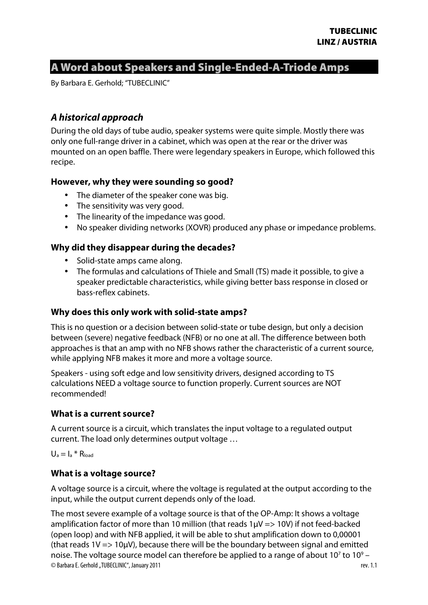# A Word about Speakers and Single-Ended-A-Triode Amps

By Barbara E. Gerhold; "TUBECLINIC"

# **A historical approach**

During the old days of tube audio, speaker systems were quite simple. Mostly there was only one full-range driver in a cabinet, which was open at the rear or the driver was mounted on an open baffle. There were legendary speakers in Europe, which followed this recipe.

#### **However, why they were sounding so good?**

- The diameter of the speaker cone was big.
- The sensitivity was very good.
- The linearity of the impedance was good.
- No speaker dividing networks (XOVR) produced any phase or impedance problems.

### **Why did they disappear during the decades?**

- Solid-state amps came along.
- The formulas and calculations of Thiele and Small (TS) made it possible, to give a speaker predictable characteristics, while giving better bass response in closed or bass-reflex cabinets.

#### **Why does this only work with solid-state amps?**

This is no question or a decision between solid-state or tube design, but only a decision between (severe) negative feedback (NFB) or no one at all. The difference between both approaches is that an amp with no NFB shows rather the characteristic of a current source, while applying NFB makes it more and more a voltage source.

Speakers - using soft edge and low sensitivity drivers, designed according to TS calculations NEED a voltage source to function properly. Current sources are NOT recommended!

#### **What is a current source?**

A current source is a circuit, which translates the input voltage to a regulated output current. The load only determines output voltage …

 $U_a = I_a * R_{load}$ 

#### **What is a voltage source?**

A voltage source is a circuit, where the voltage is regulated at the output according to the input, while the output current depends only of the load.

© Barbara E. Gerhold "TUBECLINIC", January 2011 **and State 19 and State 10 and State 10** and State 10 and Tev. 1.1 The most severe example of a voltage source is that of the OP-Amp: It shows a voltage amplification factor of more than 10 million (that reads  $1\mu$ V => 10V) if not feed-backed (open loop) and with NFB applied, it will be able to shut amplification down to 0,00001 (that reads  $1V \Rightarrow 10 \mu V$ ), because there will be the boundary between signal and emitted noise. The voltage source model can therefore be applied to a range of about 10<sup>7</sup> to 10<sup>9</sup> –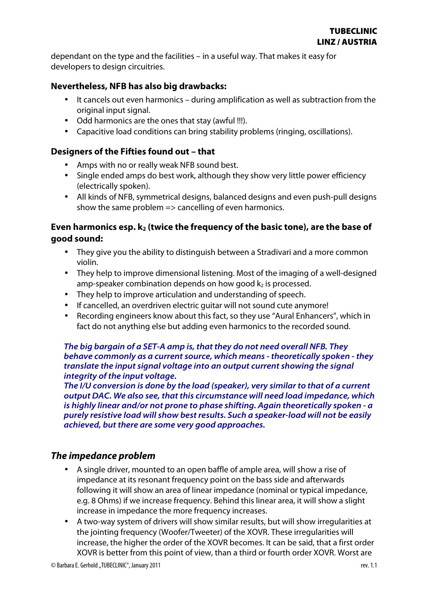dependant on the type and the facilities – in a useful way. That makes it easy for developers to design circuitries.

### **Nevertheless, NFB has also big drawbacks:**

- It cancels out even harmonics during amplification as well as subtraction from the original input signal.
- Odd harmonics are the ones that stay (awful !!!).
- Capacitive load conditions can bring stability problems (ringing, oscillations).

### **Designers of the Fifties found out – that**

- Amps with no or really weak NFB sound best.
- Single ended amps do best work, although they show very little power efficiency (electrically spoken).
- All kinds of NFB, symmetrical designs, balanced designs and even push-pull designs show the same problem  $\Rightarrow$  cancelling of even harmonics.

### **Even harmonics esp. k2 (twice the frequency of the basic tone), are the base of good sound:**

- They give you the ability to distinguish between a Stradivari and a more common violin.
- They help to improve dimensional listening. Most of the imaging of a well-designed amp-speaker combination depends on how good  $k_2$  is processed.
- They help to improve articulation and understanding of speech.
- If cancelled, an overdriven electric guitar will not sound cute anymore!
- Recording engineers know about this fact, so they use "Aural Enhancers", which in fact do not anything else but adding even harmonics to the recorded sound.

#### **The big bargain of a SET-A amp is, that they do not need overall NFB. They behave commonly as a current source, which means - theoretically spoken - they translate the input signal voltage into an output current showing the signal integrity of the input voltage.**

**The I/U conversion is done by the load (speaker), very similar to that of a current output DAC. We also see, that this circumstance will need load impedance, which is highly linear and/or not prone to phase shifting. Again theoretically spoken - a purely resistive load will show best results. Such a speaker-load will not be easily achieved, but there are some very good approaches.** 

# **The impedance problem**

- A single driver, mounted to an open baffle of ample area, will show a rise of impedance at its resonant frequency point on the bass side and afterwards following it will show an area of linear impedance (nominal or typical impedance, e.g. 8 Ohms) if we increase frequency. Behind this linear area, it will show a slight increase in impedance the more frequency increases.
- A two-way system of drivers will show similar results, but will show irregularities at the jointing frequency (Woofer/Tweeter) of the XOVR. These irregularities will increase, the higher the order of the XOVR becomes. It can be said, that a first order XOVR is better from this point of view, than a third or fourth order XOVR. Worst are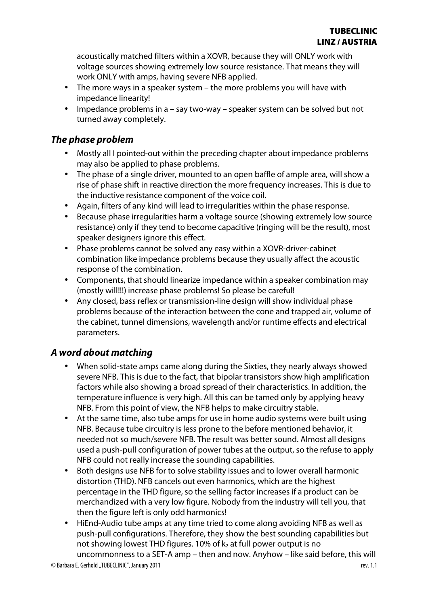acoustically matched filters within a XOVR, because they will ONLY work with voltage sources showing extremely low source resistance. That means they will work ONLY with amps, having severe NFB applied.

- The more ways in a speaker system the more problems you will have with impedance linearity!
- Impedance problems in a say two-way speaker system can be solved but not turned away completely.

### **The phase problem**

- Mostly all I pointed-out within the preceding chapter about impedance problems may also be applied to phase problems.
- The phase of a single driver, mounted to an open baffle of ample area, will show a rise of phase shift in reactive direction the more frequency increases. This is due to the inductive resistance component of the voice coil.
- Again, filters of any kind will lead to irregularities within the phase response.
- Because phase irregularities harm a voltage source (showing extremely low source resistance) only if they tend to become capacitive (ringing will be the result), most speaker designers ignore this effect.
- Phase problems cannot be solved any easy within a XOVR-driver-cabinet combination like impedance problems because they usually affect the acoustic response of the combination.
- Components, that should linearize impedance within a speaker combination may (mostly will!!!) increase phase problems! So please be careful!
- Any closed, bass reflex or transmission-line design will show individual phase problems because of the interaction between the cone and trapped air, volume of the cabinet, tunnel dimensions, wavelength and/or runtime effects and electrical parameters.

# **A word about matching**

- When solid-state amps came along during the Sixties, they nearly always showed severe NFB. This is due to the fact, that bipolar transistors show high amplification factors while also showing a broad spread of their characteristics. In addition, the temperature influence is very high. All this can be tamed only by applying heavy NFB. From this point of view, the NFB helps to make circuitry stable.
- At the same time, also tube amps for use in home audio systems were built using NFB. Because tube circuitry is less prone to the before mentioned behavior, it needed not so much/severe NFB. The result was better sound. Almost all designs used a push-pull configuration of power tubes at the output, so the refuse to apply NFB could not really increase the sounding capabilities.
- Both designs use NFB for to solve stability issues and to lower overall harmonic distortion (THD). NFB cancels out even harmonics, which are the highest percentage in the THD figure, so the selling factor increases if a product can be merchandized with a very low figure. Nobody from the industry will tell you, that then the figure left is only odd harmonics!
- HiEnd-Audio tube amps at any time tried to come along avoiding NFB as well as push-pull configurations. Therefore, they show the best sounding capabilities but not showing lowest THD figures. 10% of  $k_2$  at full power output is no

© Barbara E. Gerhold "TUBECLINIC", January 2011 **and State and State and State and State and State and State and State and State and State and State and State and State and State and State and State and State and State and** uncommonness to a SET-A amp – then and now. Anyhow – like said before, this will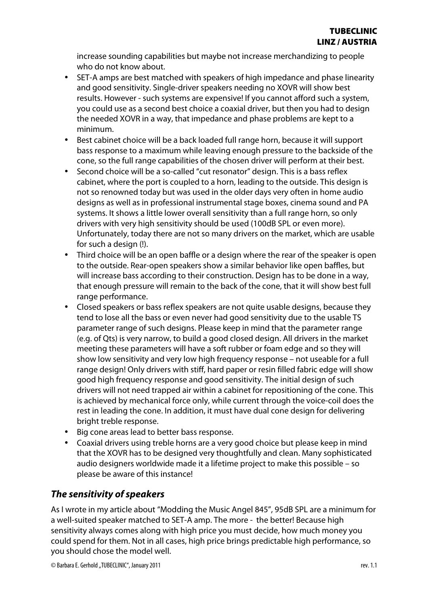increase sounding capabilities but maybe not increase merchandizing to people who do not know about.

- SET-A amps are best matched with speakers of high impedance and phase linearity and good sensitivity. Single-driver speakers needing no XOVR will show best results. However - such systems are expensive! If you cannot afford such a system, you could use as a second best choice a coaxial driver, but then you had to design the needed XOVR in a way, that impedance and phase problems are kept to a minimum.
- Best cabinet choice will be a back loaded full range horn, because it will support bass response to a maximum while leaving enough pressure to the backside of the cone, so the full range capabilities of the chosen driver will perform at their best.
- Second choice will be a so-called "cut resonator" design. This is a bass reflex cabinet, where the port is coupled to a horn, leading to the outside. This design is not so renowned today but was used in the older days very often in home audio designs as well as in professional instrumental stage boxes, cinema sound and PA systems. It shows a little lower overall sensitivity than a full range horn, so only drivers with very high sensitivity should be used (100dB SPL or even more). Unfortunately, today there are not so many drivers on the market, which are usable for such a design (!).
- Third choice will be an open baffle or a design where the rear of the speaker is open to the outside. Rear-open speakers show a similar behavior like open baffles, but will increase bass according to their construction. Design has to be done in a way, that enough pressure will remain to the back of the cone, that it will show best full range performance.
- Closed speakers or bass reflex speakers are not quite usable designs, because they tend to lose all the bass or even never had good sensitivity due to the usable TS parameter range of such designs. Please keep in mind that the parameter range (e.g. of Qts) is very narrow, to build a good closed design. All drivers in the market meeting these parameters will have a soft rubber or foam edge and so they will show low sensitivity and very low high frequency response – not useable for a full range design! Only drivers with stiff, hard paper or resin filled fabric edge will show good high frequency response and good sensitivity. The initial design of such drivers will not need trapped air within a cabinet for repositioning of the cone. This is achieved by mechanical force only, while current through the voice-coil does the rest in leading the cone. In addition, it must have dual cone design for delivering bright treble response.
- Big cone areas lead to better bass response.
- Coaxial drivers using treble horns are a very good choice but please keep in mind that the XOVR has to be designed very thoughtfully and clean. Many sophisticated audio designers worldwide made it a lifetime project to make this possible – so please be aware of this instance!

# **The sensitivity of speakers**

As I wrote in my article about "Modding the Music Angel 845", 95dB SPL are a minimum for a well-suited speaker matched to SET-A amp. The more - the better! Because high sensitivity always comes along with high price you must decide, how much money you could spend for them. Not in all cases, high price brings predictable high performance, so you should chose the model well.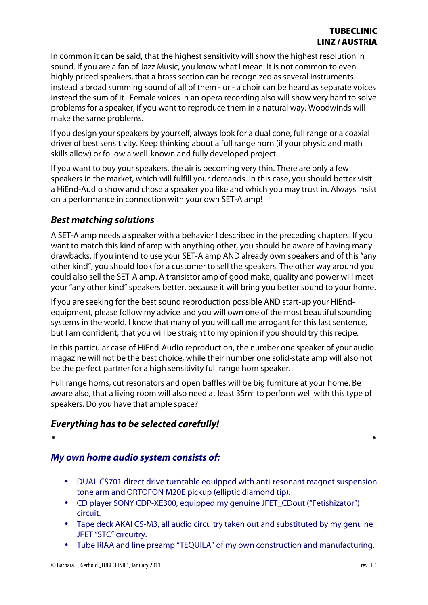In common it can be said, that the highest sensitivity will show the highest resolution in sound. If you are a fan of Jazz Music, you know what I mean: It is not common to even highly priced speakers, that a brass section can be recognized as several instruments instead a broad summing sound of all of them - or - a choir can be heard as separate voices instead the sum of it. Female voices in an opera recording also will show very hard to solve problems for a speaker, if you want to reproduce them in a natural way. Woodwinds will make the same problems.

If you design your speakers by yourself, always look for a dual cone, full range or a coaxial driver of best sensitivity. Keep thinking about a full range horn (if your physic and math skills allow) or follow a well-known and fully developed project.

If you want to buy your speakers, the air is becoming very thin. There are only a few speakers in the market, which will fulfill your demands. In this case, you should better visit a HiEnd-Audio show and chose a speaker you like and which you may trust in. Always insist on a performance in connection with your own SET-A amp!

### **Best matching solutions**

A SET-A amp needs a speaker with a behavior I described in the preceding chapters. If you want to match this kind of amp with anything other, you should be aware of having many drawbacks. If you intend to use your SET-A amp AND already own speakers and of this "any other kind", you should look for a customer to sell the speakers. The other way around you could also sell the SET-A amp. A transistor amp of good make, quality and power will meet your "any other kind" speakers better, because it will bring you better sound to your home.

If you are seeking for the best sound reproduction possible AND start-up your HiEndequipment, please follow my advice and you will own one of the most beautiful sounding systems in the world. I know that many of you will call me arrogant for this last sentence, but I am confident, that you will be straight to my opinion if you should try this recipe.

In this particular case of HiEnd-Audio reproduction, the number one speaker of your audio magazine will not be the best choice, while their number one solid-state amp will also not be the perfect partner for a high sensitivity full range horn speaker.

Full range horns, cut resonators and open baffles will be big furniture at your home. Be aware also, that a living room will also need at least 35m<sup>2</sup> to perform well with this type of speakers. Do you have that ample space?

# **Everything has to be selected carefully!**

### **My own home audio system consists of:**

- DUAL CS701 direct drive turntable equipped with anti-resonant magnet suspension tone arm and ORTOFON M20E pickup (elliptic diamond tip).
- CD player SONY CDP-XE300, equipped my genuine JFET CDout ("Fetishizator") circuit.
- Tape deck AKAI CS-M3, all audio circuitry taken out and substituted by my genuine JFET "STC" circuitry.
- Tube RIAA and line preamp "TEQUILA" of my own construction and manufacturing.